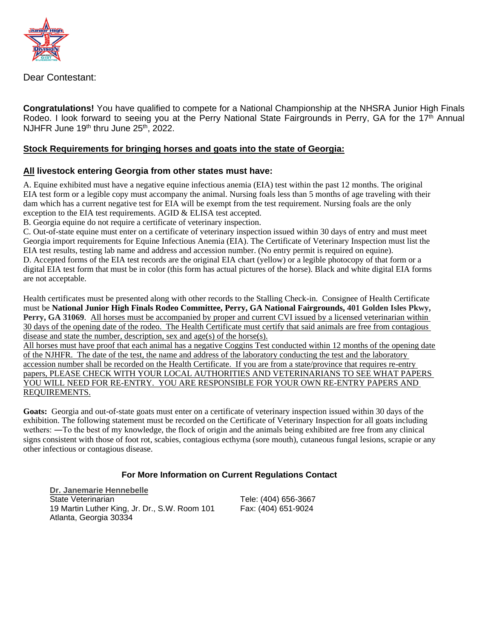

Dear Contestant:

**Congratulations!** You have qualified to compete for a National Championship at the NHSRA Junior High Finals Rodeo. I look forward to seeing you at the Perry National State Fairgrounds in Perry, GA for the 17<sup>th</sup> Annual NJHFR June 19<sup>th</sup> thru June 25<sup>th</sup>, 2022.

## **Stock Requirements for bringing horses and goats into the state of Georgia:**

## **All livestock entering Georgia from other states must have:**

A. Equine exhibited must have a negative equine infectious anemia (EIA) test within the past 12 months. The original EIA test form or a legible copy must accompany the animal. Nursing foals less than 5 months of age traveling with their dam which has a current negative test for EIA will be exempt from the test requirement. Nursing foals are the only exception to the EIA test requirements. AGID & ELISA test accepted.

B. Georgia equine do not require a certificate of veterinary inspection.

C. Out-of-state equine must enter on a certificate of veterinary inspection issued within 30 days of entry and must meet Georgia import requirements for Equine Infectious Anemia (EIA). The Certificate of Veterinary Inspection must list the EIA test results, testing lab name and address and accession number. (No entry permit is required on equine).

D. Accepted forms of the EIA test records are the original EIA chart (yellow) or a legible photocopy of that form or a digital EIA test form that must be in color (this form has actual pictures of the horse). Black and white digital EIA forms are not acceptable.

Health certificates must be presented along with other records to the Stalling Check-in. Consignee of Health Certificate must be **National Junior High Finals Rodeo Committee, Perry, GA National Fairgrounds, 401 Golden Isles Pkwy, Perry, GA 31069.** All horses must be accompanied by proper and current CVI issued by a licensed veterinarian within 30 days of the opening date of the rodeo. The Health Certificate must certify that said animals are free from contagious disease and state the number, description, sex and age(s) of the horse(s).

All horses must have proof that each animal has a negative Coggins Test conducted within 12 months of the opening date of the NJHFR. The date of the test, the name and address of the laboratory conducting the test and the laboratory accession number shall be recorded on the Health Certificate. If you are from a state/province that requires re-entry papers, PLEASE CHECK WITH YOUR LOCAL AUTHORITIES AND VETERINARIANS TO SEE WHAT PAPERS YOU WILL NEED FOR RE-ENTRY. YOU ARE RESPONSIBLE FOR YOUR OWN RE-ENTRY PAPERS AND REQUIREMENTS.

**Goats:** Georgia and out-of-state goats must enter on a certificate of veterinary inspection issued within 30 days of the exhibition. The following statement must be recorded on the Certificate of Veterinary Inspection for all goats including wethers: ―To the best of my knowledge, the flock of origin and the animals being exhibited are free from any clinical signs consistent with those of foot rot, scabies, contagious ecthyma (sore mouth), cutaneous fungal lesions, scrapie or any other infectious or contagious disease.

## **For More Information on Current Regulations Contact**

**[Dr. Janemarie Hennebelle](mailto:Janemarie.Hennebelle@agr.georgia.gov)** State Veterinarian 19 Martin Luther King, Jr. Dr., S.W. Room 101 Atlanta, Georgia 30334

Tele: (404) 656-3667 Fax: (404) 651-9024